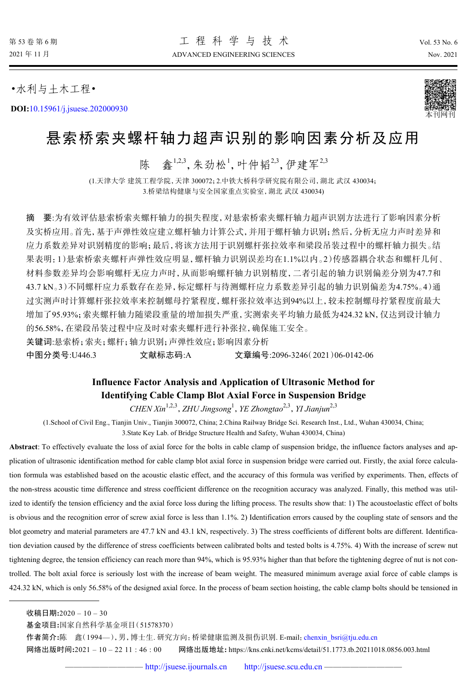•水利与土木工程•

**DOI:**[10.15961/j.jsuese.202000930](http://dx.doi.org/10.15961/j.jsuese.202000930)



# 悬索桥索夹螺杆轴力超声识别的影响因素分析及应用

陈 鑫<sup>1,2,3</sup>,朱劲松<sup>1</sup>,叶仲韬2,3,伊建军2,3

(1.天津大学 建筑工程学院,天津 300072;2.中铁大桥科学研究院有限公司,湖北 武汉 430034; 3.桥梁结构健康与安全国家重点实验室,湖北 武汉 430034)

摘 要:为有效评估悬索桥索夹螺杆轴力的损失程度,对悬索桥索夹螺杆轴力超声识别方法进行了影响因素分析 及实桥应用。首先,基于声弹性效应建立螺杆轴力计算公式,并用于螺杆轴力识别;然后,分析无应力声时差异和 应力系数差异对识别精度的影响;最后,将该方法用于识别螺杆张拉效率和梁段吊装过程中的螺杆轴力损失。结 果表明:1)悬索桥索夹螺杆声弹性效应明显, 螺杆轴力识别误差均在1.1%以内。2)传感器耦合状态和螺杆几何、 材料参数差异均会影响螺杆无应力声时,从而影响螺杆轴力识别精度,二者引起的轴力识别偏差分别为47.7和 43.7 kN。3)不同螺杆应力系数存在差异,标定螺杆与待测螺杆应力系数差异引起的轴力识别偏差为4.75%。4)通 过实测声时计算螺杆张拉效率来控制螺母拧紧程度,螺杆张拉效率达到94%以上,较未控制螺母拧紧程度前最大 增加了95.93%;索夹螺杆轴力随梁段重量的增加损失严重,实测索夹平均轴力最低为424.32 kN,仅达到设计轴力 的56.58%,在梁段吊装过程中应及时对索夹螺杆进行补张拉,确保施工安全。

关键词:悬索桥;索夹;螺杆;轴力识别;声弹性效应;影响因素分析

中图分类号:U446.3 文献标志码:A 文章编号:2096-3246(2021)06-0142-06

# **Influence Factor Analysis and Application of Ultrasonic Method for Identifying Cable Clamp Blot Axial Force in Suspension Bridge**

*CHEN Xin*1,2,3 ,*ZHU Jingsong*<sup>1</sup> ,*YE Zhongtao*2,3 ,*YI Jianjun*2,3

(1.School of Civil Eng., Tianjin Univ., Tianjin 300072, China; 2.China Railway Bridge Sci. Research Inst., Ltd., Wuhan 430034, China;

3.State Key Lab. of Bridge Structure Health and Safety, Wuhan 430034, China)

**Abstract**: To effectively evaluate the loss of axial force for the bolts in cable clamp of suspension bridge, the influence factors analyses and application of ultrasonic identification method for cable clamp blot axial force in suspension bridge were carried out. Firstly, the axial force calculation formula was established based on the acoustic elastic effect, and the accuracy of this formula was verified by experiments. Then, effects of the non-stress acoustic time difference and stress coefficient difference on the recognition accuracy was analyzed. Finally, this method was utilized to identify the tension efficiency and the axial force loss during the lifting process. The results show that: 1) The acoustoelastic effect of bolts is obvious and the recognition error of screw axial force is less than 1.1%. 2) Identification errors caused by the coupling state of sensors and the blot geometry and material parameters are 47.7 kN and 43.1 kN, respectively. 3) The stress coefficients of different bolts are different. Identification deviation caused by the difference of stress coefficients between calibrated bolts and tested bolts is 4.75%. 4) With the increase of screw nut tightening degree, the tension efficiency can reach more than 94%, which is 95.93% higher than that before the tightening degree of nut is not controlled. The bolt axial force is seriously lost with the increase of beam weight. The measured minimum average axial force of cable clamps is 424.32 kN, which is only 56.58% of the designed axial force. In the process of beam section hoisting, the cable clamp bolts should be tensioned in

收稿日期**:**2020 – 10 – 30

基金项目**:**国家自然科学基金项目(51578370)

作者简介**:**陈 鑫(1994—),男,博士生. 研究方向:桥梁健康监测及损伤识别. E-mail:[chenxin\\_bsri@tju.edu.cn](mailto:chenxin_bsri@tju.edu.cn) 网络出版时间**:**2021 – 10 – 22 11 : 46 : 00 网络出版地址**:** https://kns.cnki.net/kcms/detail/51.1773.tb.20211018.0856.003.html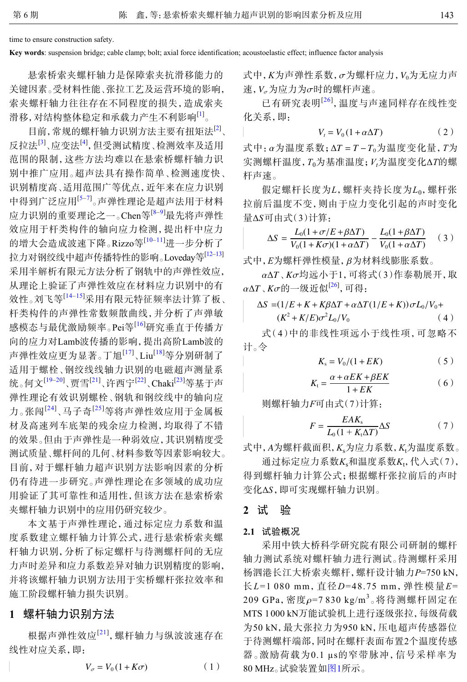time to ensure construction safety.

**Key words**: suspension bridge; cable clamp; bolt; axial force identification; acoustoelastic effect; influence factor analysis

悬索桥索夹螺杆轴力是保障索夹抗滑移能力的 关键因素。受材料性能、张拉工艺及运营环境的影响, 索夹螺杆轴力往往存在不同程度的损失,造成索夹 滑移,对结构整体稳定和承载力产生不利影响[[1](#page-4-0)] 。

目前,常规的螺杆轴力识别方法主要有扭矩法<sup>[\[2\]](#page-4-1)</sup>、 反拉法<sup>[\[3\]](#page-4-2)</sup>、应变法<sup>[\[4](#page-4-3)]</sup>, 但受测试精度、检测效率及适用 范围的限制,这些方法均难以在悬索桥螺杆轴力识 别中推广应用。超声法具有操作简单、检测速度快、 识别精度高、适用范围广等优点,近年来在应力识别 中得到广泛应用<sup>[\[5](#page-4-4)–[7](#page-4-5)]</sup>。声弹性理论是超声法用于材料 应力识别的重要理论之一。Chen等[\[8](#page-4-6)–[9](#page-4-7)]最先将声弹性 效应用于杆类构件的轴向应力检测,提出杆中应力 的增大会造成波速下降。Rizzo等<sup>[[10](#page-4-8)–[11](#page-4-9)]</sup>进一步分析了 拉力对钢绞线中超声传播特性的影响。Loveday等[[12](#page-4-10)–[13\]](#page-4-11) 采用半解析有限元方法分析了钢轨中的声弹性效应, 从理论上验证了声弹性效应在材料应力识别中的有 效性。刘飞等[[14–](#page-5-0)[15\]](#page-5-1)采用有限元特征频率法计算了板、 杆类构件的声弹性常数频散曲线,并分析了声弹敏 感模态与最优激励频率。Pei等[[16](#page-5-2)]研究垂直于传播方 向的应力对Lamb波传播的影响,提出高阶Lamb波的 声弹性效应更为显著。丁旭<sup>[\[17](#page-5-3)]</sup>、Liu<sup>[\[18](#page-5-4)]</sup>等分别研制了 适用于螺栓、钢绞线线轴力识别的电磁超声测量系 统。何文<sup>[\[19](#page-5-5)–[20](#page-5-6)]</sup>、贾雪<sup>[[21\]](#page-5-7)</sup>、许西宁<sup>[[22\]](#page-5-8)</sup>、Chaki<sup>[\[23](#page-5-9)]</sup>等基于声 弹性理论有效识别螺栓、钢轨和钢绞线中的轴向应 力。张闯<sup>[[24](#page-5-10)]</sup>、马子奇<sup>[[25](#page-5-11)]</sup>等将声弹性效应用于金属板 材及高速列车底架的残余应力检测,均取得了不错 的效果。但由于声弹性是一种弱效应,其识别精度受 测试质量、螺杆间的几何、材料参数等因素影响较大。 目前,对于螺杆轴力超声识别方法影响因素的分析 仍有待进一步研究。声弹性理论在多领域的成功应 用验证了其可靠性和适用性,但该方法在悬索桥索 夹螺杆轴力识别中的应用仍研究较少。

本文基于声弹性理论,通过标定应力系数和温 度系数建立螺杆轴力计算公式,进行悬索桥索夹螺 杆轴力识别,分析了标定螺杆与待测螺杆间的无应 力声时差异和应力系数差异对轴力识别精度的影响, 并将该螺杆轴力识别方法用于实桥螺杆张拉效率和 施工阶段螺杆轴力损失识别。

# **1** 螺杆轴力识别方法

根据声弹性效应<sup>[[21](#page-5-7)]</sup>, 螺杆轴力与纵波波速存在 线性对应关系,即:

$$
V_{\sigma} = V_0 (1 + K\sigma) \tag{1}
$$

式中, *K*为声弹性系数,  $\sigma$ 为螺杆应力, V $_0$ 为无应力声 速,  $V_{\sigma}$ 为应力为 $\sigma$ 时的螺杆声速。

已有研究表明<sup>[[26](#page-5-12)]</sup>, 温度与声速同样存在线性变 化关系,即:

$$
V_t = V_0 \left( 1 + \alpha \Delta T \right) \tag{2}
$$

式中:α为温度系数; ∆*T* = *T* −*T*0为温度变化量,*T*为 实测螺杆温度,*T*0为基准温度;*Vt*为温度变化Δ*T*的螺 杆声速。

量ΔS可由式(3)计算: 假定螺杆长度为*L*,螺杆夹持长度为*L*0,螺杆张 拉前后温度不变,则由于应力变化引起的声时变化

$$
\Delta S = \frac{L_0(1 + \sigma/E + \beta \Delta T)}{V_0(1 + K\sigma)(1 + \alpha \Delta T)} - \frac{L_0(1 + \beta \Delta T)}{V_0(1 + \alpha \Delta T)} \quad (3)
$$

式中,*E*为螺杆弹性模量,β为材料线膨胀系数。

α∆*T*、*K*σ 均远小于1,可将式(3)作泰勒展开,取  $\alpha$ Δ*T、Κσ*的一级近似<sup>[\[26](#page-5-12)]</sup>, 可得:

$$
\Delta S = (1/E + K + K\beta\Delta T + \alpha\Delta T(1/E + K))\sigma L_0/V_0 +
$$
  

$$
(K^2 + K/E)\sigma^2 L_0/V_0
$$
 (4)

式(4)中的非线性项远小于线性项,可忽略不 计。令

$$
K_{\rm s}=V_0/(1+EK)\qquad \qquad (5)
$$

$$
K_{t} = \frac{\alpha + \alpha E K + \beta E K}{1 + E K} \tag{6}
$$

则螺杆轴力*F*可由式(7)计算:

$$
F = \frac{EAK_{\rm s}}{L_0(1 + K_{\rm t}\Delta T)}\Delta S\tag{7}
$$

式中, *A* 为螺杆截面积,*K*s为应力系数,*K*t为温度系数。

变化ΔS,即可实现螺杆轴力识别。 通过标定应力系数*K*。和温度系数*K*t,代入式(7), 得到螺杆轴力计算公式;根据螺杆张拉前后的声时

### **2** 试 验

#### **2.1** 试验概况

采用中铁大桥科学研究院有限公司研制的螺杆 轴力测试系统对螺杆轴力进行测试。待测螺杆采用 杨泗港长江大桥索夹螺杆,螺杆设计轴力*P*=750 kN, 长*L*=1 080 mm,直径*D*=48.75 mm,弹性模量*E*= 209 GPa, 密度ρ=7 830 kg/m<sup>3</sup>。将待测螺杆固定在 MTS 1 000 kN万能试验机上进行逐级张拉,每级荷载 为50 kN,最大张拉力为950 kN,压电超声传感器位 于待测螺杆端部,同时在螺杆表面布置2个温度传感 器。激励荷载为0.1 µs的窄带脉冲,信号采样率为 80 MHz。试验装置如[图](#page-2-0)[1](#page-2-0)所示。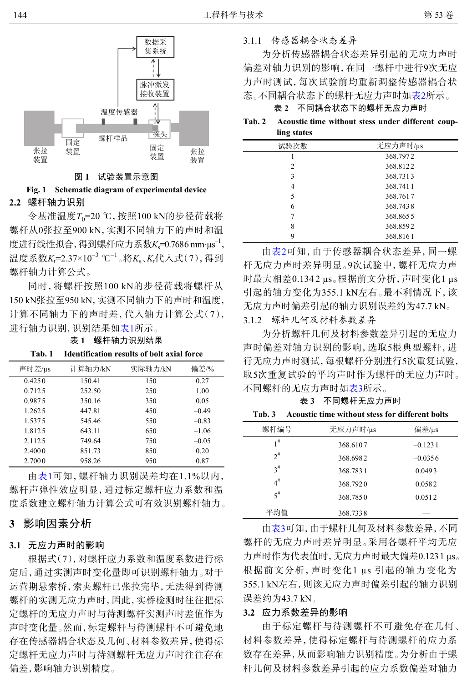<span id="page-2-0"></span>

#### 图 **1** 试验装置示意图

# **2.2** 螺杆轴力识别 **Fig. 1 Schematic diagram of experimental device**

令基准温度*T*0=20 ℃,按照100 kN的步径荷载将 螺杆从0张拉至900 kN,实测不同轴力下的声时和温 度进行线性拟合,得到螺杆应力系数*K*<sub>s</sub>=0.7686 mm·μs<sup>-1</sup>, 温度系数*K*<sub>t</sub>=2.37×10<sup>-3</sup> ℃<sup>-1</sup>。将*K*<sub>s</sub>、*K*<sub>t</sub>代入式(7),得到 螺杆轴力计算公式。

同时,将螺杆按照100 kN的步径荷载将螺杆从 150 kN张拉至950 kN,实测不同轴力下的声时和温度, 计算不同轴力下的声时差,代入轴力计算公式(7), 进行轴力识别,识别结果如表1所示。

表 **1** 螺杆轴力识别结果

| 声时差/µs  | 计算轴力/kN | 实际轴力/kN | 偏差/%    |
|---------|---------|---------|---------|
| 0.4250  | 150.41  | 150     | 0.27    |
| 0.712.5 | 252.50  | 250     | 1.00    |
| 0.9875  | 350.16  | 350     | 0.05    |
| 1.262.5 | 447.81  | 450     | $-0.49$ |
| 1.5375  | 545.46  | 550     | $-0.83$ |
| 1.812.5 | 643.11  | 650     | $-1.06$ |
| 2.1125  | 749.64  | 750     | $-0.05$ |
| 2.4000  | 851.73  | 850     | 0.20    |
| 2.7000  | 958.26  | 950     | 0.87    |

**Tab. 1 Identification results of bolt axial force**

由表1可知,螺杆轴力识别误差均在1.1%以内, 螺杆声弹性效应明显,通过标定螺杆应力系数和温 度系数建立螺杆轴力计算公式可有效识别螺杆轴力。

# **3** 影响因素分析

# **3.1** 无应力声时的影响

根据式(7),对螺杆应力系数和温度系数进行标 定后,通过实测声时变化量即可识别螺杆轴力。对于 运营期悬索桥,索夹螺杆已张拉完毕,无法得到待测 螺杆的实测无应力声时,因此,实桥检测时往往把标 定螺杆的无应力声时与待测螺杆实测声时差值作为 声时变化量。然而,标定螺杆与待测螺杆不可避免地 存在传感器耦合状态及几何、材料参数差异,使得标 定螺杆无应力声时与待测螺杆无应力声时往往存在 偏差,影响轴力识别精度。

3.1.1 传感器耦合状态差异

为分析传感器耦合状态差异引起的无应力声时 偏差对轴力识别的影响,在同一螺杆中进行9次无应 力声时测试,每次试验前均重新调整传感器耦合状 态。不同耦合状态下的螺杆无应力声时如表2所示。

表 **2** 不同耦合状态下的螺杆无应力声时

**Tab. 2 Acoustic time without stess under different coupling states**

| 试验次数 | 无应力声时/µs |
|------|----------|
|      | 368.7972 |
| 2    | 368.8122 |
| 3    | 368.7313 |
| 4    | 368.7411 |
| 5    | 368.7617 |
| 6    | 368.7438 |
|      | 368.8655 |
| 8    | 368.8592 |
| 9    | 368.8161 |

由表2可知,由于传感器耦合状态差异,同一螺 杆无应力声时差异明显。9次试验中,螺杆无应力声 时最大相差0.1342 μs。根据前文分析, 声时变化1 μs 引起的轴力变化为355.1 kN左右。最不利情况下,该 无应力声时偏差引起的轴力识别误差约为47.7 kN。 3.1.2 螺杆几何及材料参数差异

为分析螺杆几何及材料参数差异引起的无应力 声时偏差对轴力识别的影响,选取5根典型螺杆,进 行无应力声时测试,每根螺杆分别进行5次重复试验, 取5次重复试验的平均声时作为螺杆的无应力声时。 不同螺杆的无应力声时如表3所示。

表 **3** 不同螺杆无应力声时

**Tab. 3 Acoustic time without stess for different bolts**

| 螺杆编号     | 无应力声时/µs | 偏差/µs     |
|----------|----------|-----------|
| $1^{\#}$ | 368.6107 | $-0.1231$ |
| $2^{\#}$ | 368,6982 | $-0.0356$ |
| $3^{\#}$ | 368.7831 | 0.0493    |
| $4^{\#}$ | 368.7920 | 0.0582    |
| $5^{\#}$ | 368.7850 | 0.0512    |
| 平均值      | 368.7338 |           |

由表3可知,由于螺杆几何及材料参数差异,不同 螺杆的无应力声时差异明显。采用各螺杆平均无应 力声时作为代表值时,无应力声时最大偏差0.1231 µs。 根据前文分析,声时变化1 µs 引起的轴力变化为 355.1 kN左右,则该无应力声时偏差引起的轴力识别 误差约为43.7 kN。

# **3.2** 应力系数差异的影响

由于标定螺杆与待测螺杆不可避免存在几何、 材料参数差异,使得标定螺杆与待测螺杆的应力系 数存在差异,从而影响轴力识别精度。为分析由于螺 杆几何及材料参数差异引起的应力系数偏差对轴力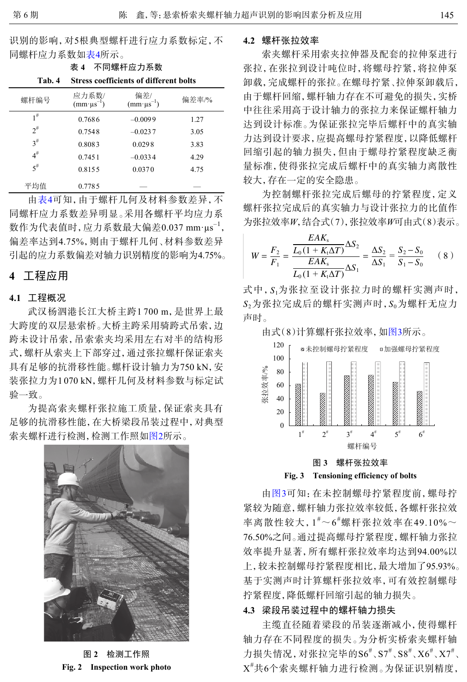识别的影响,对5根典型螺杆进行应力系数标定,不 同螺杆应力系数如表4所示。

表 **4** 不同螺杆应力系数

| Tab. 4   | <b>Stress coefficients of different bolts</b> |                                |       |  |
|----------|-----------------------------------------------|--------------------------------|-------|--|
| 螺杆编号     | 应力系数/<br>$(mm·\mu s^{-1})$                    | 偏差/<br>$(mm \cdot \mu s^{-1})$ | 偏差率/% |  |
| 1#       | 0.7686                                        | $-0.0099$                      | 1.27  |  |
| $2^{\#}$ | 0.7548                                        | $-0.0237$                      | 3.05  |  |
| $3^{\#}$ | 0.8083                                        | 0.0298                         | 3.83  |  |
| $4^{\#}$ | 0.7451                                        | $-0.0334$                      | 4.29  |  |
| $5^{\#}$ | 0.8155                                        | 0.0370                         | 4.75  |  |
| 平均值      | 0.7785                                        |                                |       |  |

由表4可知,由于螺杆几何及材料参数差异,不 同螺杆应力系数差异明显。采用各螺杆平均应力系 数作为代表值时,应力系数最大偏差0.037 mm·μs<sup>-1</sup>, 偏差率达到4.75%,则由于螺杆几何、材料参数差异 引起的应力系数偏差对轴力识别精度的影响为4.75%。

# **4** 工程应用

## **4.1** 工程概况

武汉杨泗港长江大桥主跨1 700 m,是世界上最 大跨度的双层悬索桥。大桥主跨采用骑跨式吊索,边 跨未设计吊索,吊索索夹均采用左右对半的结构形 式,螺杆从索夹上下部穿过,通过张拉螺杆保证索夹 具有足够的抗滑移性能。螺杆设计轴力为750 kN,安 装张拉力为1 070 kN,螺杆几何及材料参数与标定试 验一致。

<span id="page-3-0"></span>为提高索夹螺杆张拉施工质量,保证索夹具有 足够的抗滑移性能,在大桥梁段吊装过程中,对典型 索夹螺杆进行检测,检测工作照如[图](#page-3-0)[2](#page-3-0)所示。



图 **2** 检测工作照 **Fig. 2 Inspection work photo**

#### **4.2** 螺杆张拉效率

索夹螺杆采用索夹拉伸器及配套的拉伸泵进行 张拉,在张拉到设计吨位时,将螺母拧紧,将拉伸泵 卸载,完成螺杆的张拉。在螺母拧紧、拉伸泵卸载后, 由于螺杆回缩,螺杆轴力存在不可避免的损失,实桥 中往往采用高于设计轴力的张拉力来保证螺杆轴力 达到设计标准。为保证张拉完毕后螺杆中的真实轴 力达到设计要求,应提高螺母拧紧程度,以降低螺杆 回缩引起的轴力损失,但由于螺母拧紧程度缺乏衡 量标准,使得张拉完成后螺杆中的真实轴力离散性 较大,存在一定的安全隐患。

为控制螺杆张拉完成后螺母的拧紧程度,定义 螺杆张拉完成后的真实轴力与设计张拉力的比值作 为张拉效率*W*,结合式(7),张拉效率*W*可由式(8)表示。

$$
W = \frac{F_2}{F_1} = \frac{\frac{EAK_s}{L_0(1 + K_t\Delta T)}\Delta S_2}{\frac{EAK_s}{L_0(1 + K_t\Delta T)}\Delta S_1} = \frac{\Delta S_2}{\Delta S_1} = \frac{S_2 - S_0}{S_1 - S_0} \tag{8}
$$

式中, S1为张拉至设计张拉力时的螺杆实测声时,  $S_2$ 为张拉完成后的螺杆实测声时, $S_0$ 为螺杆无应力 声时。

由式(8)计算螺杆张拉效率,如[图](#page-3-1)[3](#page-3-1)所示。

<span id="page-3-1"></span>

由[图](#page-3-1)[3](#page-3-1)可知:在未控制螺母拧紧程度前,螺母拧 紧较为随意,螺杆轴力张拉效率较低,各螺杆张拉效 率离散性较大, $1^{\text{\tiny$\#$}}{\sim}6^{\text{\tiny$\#$}}$ 螺杆张拉效率在49.10% ${\sim}$ 76.50%之间。通过提高螺母拧紧程度,螺杆轴力张拉 效率提升显著,所有螺杆张拉效率均达到94.00%以 上,较未控制螺母拧紧程度相比,最大增加了95.93%。 基于实测声时计算螺杆张拉效率,可有效控制螺母 拧紧程度,降低螺杆回缩引起的轴力损失。

# **4.3** 梁段吊装过程中的螺杆轴力损失

主缆直径随着梁段的吊装逐渐减小,使得螺杆 轴力存在不同程度的损失。为分析实桥索夹螺杆轴 力损失情况, 对张拉完毕的S $6^{\texttt{#}}$ 、S7 $^{\texttt{#}}$ 、S8 $^{\texttt{#}}$ 、X6 $^{\texttt{#}}$ 、X7 $^{\texttt{#}}$ 、 X #共6个索夹螺杆轴力进行检测。为保证识别精度,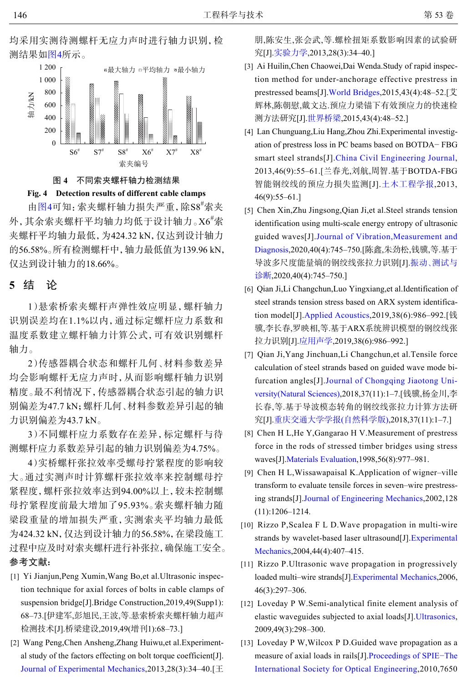<span id="page-4-12"></span>



#### 图 **4** 不同索夹螺杆轴力检测结果

#### **Fig. 4 Detection results of different cable clamps**

由[图](#page-4-12)[4](#page-4-12)可知:索夹螺杆轴力损失严重,除S8<sup>#</sup>索夹 外,其余索夹螺杆平均轴力均低于设计轴力。X6<sup>#</sup>索 夹螺杆平均轴力最低,为424.32 kN,仅达到设计轴力 的56.58%。所有检测螺杆中,轴力最低值为139.96 kN, 仅达到设计轴力的18.66%。

# **5** 结 论

1)悬索桥索夹螺杆声弹性效应明显,螺杆轴力 识别误差均在1.1%以内,通过标定螺杆应力系数和 温度系数建立螺杆轴力计算公式,可有效识别螺杆 轴力。

2)传感器耦合状态和螺杆几何、材料参数差异 均会影响螺杆无应力声时,从而影响螺杆轴力识别 精度。最不利情况下,传感器耦合状态引起的轴力识 别偏差为47.7 kN;螺杆几何、材料参数差异引起的轴 力识别偏差为43.7 kN。

3)不同螺杆应力系数存在差异,标定螺杆与待 测螺杆应力系数差异引起的轴力识别偏差为4.75%。

4)实桥螺杆张拉效率受螺母拧紧程度的影响较 大。通过实测声时计算螺杆张拉效率来控制螺母拧 紧程度,螺杆张拉效率达到94.00%以上,较未控制螺 母拧紧程度前最大增加了95.93%。索夹螺杆轴力随 梁段重量的增加损失严重,实测索夹平均轴力最低 为424.32 kN,仅达到设计轴力的56.58%,在梁段施工 过程中应及时对索夹螺杆进行补张拉,确保施工安全。 参考文献:

- <span id="page-4-0"></span>Yi Jianjun,Peng Xumin,Wang Bo,et al.Ultrasonic inspec-[1] tion technique for axial forces of bolts in cable clamps of suspension bridge[J].Bridge Construction,2019,49(Supp1): 68–73.[伊建军,彭旭民,王波,等.悬索桥索夹螺杆轴力超声 检测技术[J].桥梁建设,2019,49(增刊1):68–73.]
- <span id="page-4-1"></span>Wang Peng,Chen Ansheng,Zhang Huiwu,et al.Experiment-[2] [al study of the factors effecting on bo](https://doi.org/10.7520/1001-4888-12-051)lt torque coefficient[J]. [Journal of Experimental Mechanics,](https://doi.org/10.7520/1001-4888-12-051)2013,28(3):34–40.[王

朋,陈安生,张会武,等.螺栓扭矩系数影响因素的试验研 究[J].[实验力学](https://doi.org/10.7520/1001-4888-12-051),2013,28(3):34–40.]

- <span id="page-4-2"></span>Ai Huilin,Chen Chaowei,Dai Wenda.Study of rapid inspec-[3] tion method for under-anchorage effective prestress in prestressed beams[J][.World Bridges](https://doi.org/10.3969/j.issn.1671-7767.2015.04.009),2015,43(4):48–52.[艾 辉林,陈朝慰,戴文达.预应力梁锚下有效预应力的快速检 测方法研究[J].[世界桥梁](https://doi.org/10.3969/j.issn.1671-7767.2015.04.009),2015,43(4):48–52.]
- <span id="page-4-3"></span>Lan Chunguang,Liu Hang,Zhou Zhi.Experimental investig-[4] ation of prestress loss in PC beams based on BOTDA− FBG smart steel strands[J].[China Civil Engineering Journal](https://doi.org/10.15951/j.tmgcxb.2013.09.014), 2013,46(9):55–61.[兰春光,刘航,周智.基于BOTDA-FBG 智能钢绞线的预应力损失监测[J].[土木工程学报](https://doi.org/10.15951/j.tmgcxb.2013.09.014),2013, 46(9):55–61.]
- <span id="page-4-4"></span>[5] Chen Xin, Zhu Jingsong, Qian Ji, et al. Steel strands tension identification using multi-scale energy entropy of ultrasonic guided waves[J].[Journal of Vibration,Measurement and](https://doi.org/10.16450/j.cnki.issn.1004-6801.2020.04.017) [Diagnosis](https://doi.org/10.16450/j.cnki.issn.1004-6801.2020.04.017),2020,40(4):745–750.[陈鑫,朱劲松,钱骥,等.基于 导波多尺度能量熵的钢绞线张拉力识别[J].[振动](https://doi.org/10.16450/j.cnki.issn.1004-6801.2020.04.017)、[测试与](https://doi.org/10.16450/j.cnki.issn.1004-6801.2020.04.017) [诊断](https://doi.org/10.16450/j.cnki.issn.1004-6801.2020.04.017),2020,40(4):745–750.]
- [6] Qian Ji,Li Changchun,Luo Yingxiang,et al.Identification of steel strands tension stress based on ARX system identification model[J].[Applied Acoustics](https://doi.org/10.11684/j.issn.1000-310X.2019.06.011),2019,38(6):986–992.[钱 骥,李长春,罗映相,等.基于ARX系统辨识模型的钢绞线张 拉力识别[J].[应用声学](https://doi.org/10.11684/j.issn.1000-310X.2019.06.011),2019,38(6):986–992.]
- <span id="page-4-5"></span>[7] Qian Ji, Yang Jinchuan, Li Changchun, et al. Tensile force calculation of steel strands based on guided wave mode bifurcation angles[J].[Journal of Chongqing Jiaotong Uni](https://doi.org/10.3969/j.issn.1674-0696.2018.11.01)[versity\(Natural Sciences\)](https://doi.org/10.3969/j.issn.1674-0696.2018.11.01),2018,37(11):1–7.[钱骥,杨金川,李 长春,等.基于导波模态转角的钢绞线张拉力计算方法研 究[J].[重庆交通大学学报](https://doi.org/10.3969/j.issn.1674-0696.2018.11.01)[\(](https://doi.org/10.3969/j.issn.1674-0696.2018.11.01)[自然科学版](https://doi.org/10.3969/j.issn.1674-0696.2018.11.01)[\)](https://doi.org/10.3969/j.issn.1674-0696.2018.11.01),2018,37(11):1–7.]
- <span id="page-4-6"></span>[8] Chen H L, He Y, Gangarao H V. Measurement of prestress force in the rods of stressed timber bridges using stress waves[J].[Materials Evaluation](https://doi.org/10.1016/S1044-5803(98)00030-8),1998,56(8):977–981.
- <span id="page-4-7"></span>[9] Chen H L, Wissawapaisal K. Application of wigner-ville transform to evaluate tensile forces in seven–wire prestressing strands[J].[Journal of Engineering Mechanics](https://doi.org/10.1061/(ASCE)0733-9399(2002)128:11(1206)),2002,128 (11):1206–1214.
- <span id="page-4-8"></span>[10] Rizzo P, Scalea F L D. Wave propagation in multi-wire strands by wavelet-based laser ultrasound[J].[Experimental](https://doi.org/10.1007/BF02428094) [Mechanics](https://doi.org/10.1007/BF02428094),2004,44(4):407–415.
- <span id="page-4-9"></span>[11] Rizzo P.Ultrasonic wave propagation in progressively loaded multi–wire strands[J][.Experimental Mechanics](https://doi.org/10.1007/s11340-006-7248-0),2006, 46(3):297–306.
- <span id="page-4-10"></span>[12] Loveday P W.Semi-analytical finite element analysis of elastic waveguides subjected to axial loads[J].[Ultrasonics](https://doi.org/10.1016/j.ultras.2008.10.018), 2009,49(3):298–300.
- <span id="page-4-11"></span>[13] Loveday P W, Wilcox P D. Guided wave propagation as a measure of axial loads in rails[J][.Proceedings of SPIE−The](https://doi.org/10.1117/12.847531) [International Society for Optical Engineering](https://doi.org/10.1117/12.847531),2010,7650